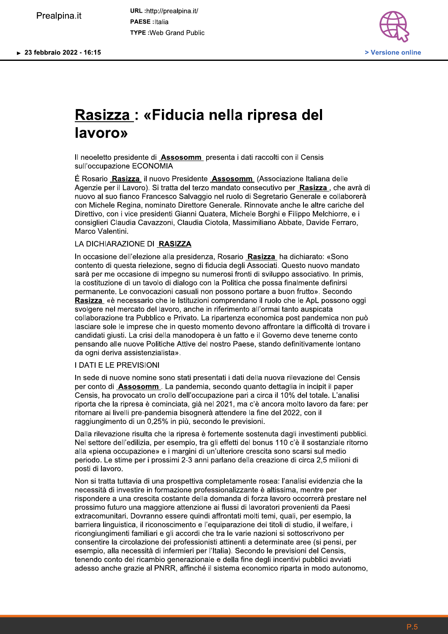**Prealpina.it**<br>**PRESE**:Italia TYPE: Web Grand Public



# <u>Rasizza :</u> «Fiducia nella ripresa del lavoro»

ll neoeletto presidente di **Assosc** 

**Rasizza : «Fiducia nella ripresa del<br>
lavoro»<br>
Il neoeletto presidente di <u>Assosomm</u> presenta i dati raccolti con il Censis<br>
sull'occupazione ECONOMIA<br>
É Rosario <u>Rasizza</u> il nuovo Presidente <u>Assosomm</u> (Associazione Ital** <u>izza li nuovo Presidente Assoso</u> **Rasizza : «Fiducia nella ripresa del<br>
lavoro»<br>
Il neoeletto presidente di Assosomm presenta i dati raccolti con il Censis<br>
sull'occupazione ECONOMIA<br>
É Rosario <u>Rasizza</u> il nuovo Presidente Assosomm (Associazione Italiana** Agenzie per il Lavoro). Si tratta del terzo mandato consecutivo per Rasizza, che avrà di nuovo al suo fianco Francesco Salvaggio nel ruolo di Segretario Generale e collaborerà con Michele Regina, nominato Direttore Generale. Rinnovate anche le altre cariche del<br>Direttivo, con i vice presidenti Gianni Quatera, Michele Borghi e Filippo Melchiorre, e i

Il neoeletto presidente di **Assosomm** presenta i dati raccolti con il Censis<br>
sull'occupazione ECONOMIA<br>
É Rosario Rasizza, il nuovo Presidente Assosomm (Associazione Italiana delle<br>
Agenzie per il Lavoro). Si tratta del t nuovo al suo fianco Francesco Salvaggio nel ruolo di Segretario Generale e collaborerà<br>con Michele Regina, nominato Direttore Generale. Rinnovate anche le attre caricche del<br>Direttivo, con i vice presidenti Gianni Quatera, Marco Valentini.<br>
LA DICHIARAZIONE DI **RASIZZA**<br>
In occasione dell'elezione, segno di fiducia degli Associati. Questo nuovo mandato<br>
sarà per me occasione di impegno su numerosi fronti di sviluppo associativo. In primis,<br>

<u>sosc</u>

laciaries sole la imperacione da in quasto momento devoto affrontare la difficolta di trovare i<br>accordidati gusti. La crisi della manodopera è un fatto e il Governo deve teneme conto<br>pensando alle nuove Politiche Altive de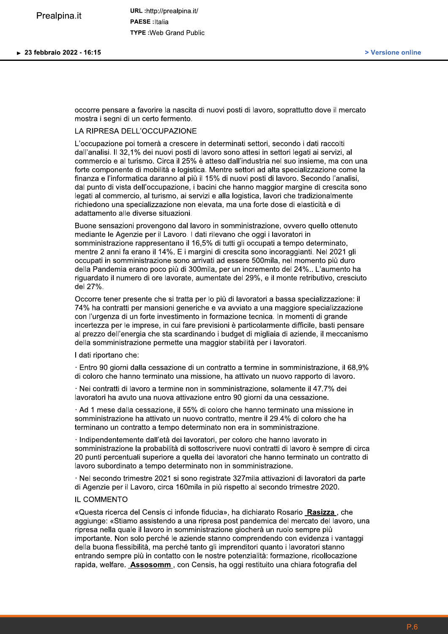occorre pensare a favorire la nascita di nuovi posti di lavoro, soprattutto dove il mercato mostra i segni di un certo fermento.

### LA RIPRESA DELL'OCCUPAZIONE

L'occupazione poi tornerà a crescere in determinati settori, secondo i dati raccolti dall'analisi. Il 32,1% dei nuovi posti di lavoro sono attesi in settori legati ai servizi, al commercio e al turismo. Circa il 25% è atteso dall'industria nel suo insieme, ma con una forte componente di mobilità e logistica. Mentre settori ad alta specializzazione come la finanza e l'informatica daranno al più il 15% di nuovi posti di lavoro. Secondo l'analisi. dal punto di vista dell'occupazione, i bacini che hanno maggior margine di crescita sono legati al commercio, al turismo, ai servizi e alla logistica, lavori che tradizionalmente richiedono una specializzazione non elevata, ma una forte dose di elasticità e di adattamento alle diverse situazioni.

Buone sensazioni provengono dal lavoro in somministrazione, ovvero quello ottenuto mediante le Agenzie per il Lavoro. I dati rilevano che oggi i lavoratori in somministrazione rappresentano il 16,5% di tutti gli occupati a tempo determinato, mentre 2 anni fa erano il 14%. E i margini di crescita sono incoraggianti. Nel 2021 gli occupati in somministrazione sono arrivati ad essere 500mila, nel momento più duro della Pandemia erano poco più di 300mila, per un incremento del 24%.. L'aumento ha riguardato il numero di ore lavorate, aumentate del 29%, e il monte retributivo, cresciuto del 27%.

Occorre tener presente che si tratta per lo più di lavoratori a bassa specializzazione: il 74% ha contratti per mansioni generiche e va avviato a una maggiore specializzazione con l'urgenza di un forte investimento in formazione tecnica. In momenti di grande incertezza per le imprese, in cui fare previsioni è particolarmente difficile, basti pensare al prezzo dell'energia che sta scardinando i budget di migliaia di aziende, il meccanismo della somministrazione permette una maggior stabilità per i lavoratori.

I dati riportano che:

· Entro 90 giorni dalla cessazione di un contratto a termine in somministrazione, il 68.9% di coloro che hanno terminato una missione, ha attivato un nuovo rapporto di lavoro.

· Nei contratti di lavoro a termine non in somministrazione, solamente il 47.7% dei lavoratori ha avuto una nuova attivazione entro 90 giorni da una cessazione.

Ad 1 mese dalla cessazione, il 55% di coloro che hanno terminato una missione in somministrazione ha attivato un nuovo contratto, mentre il 29.4% di coloro che ha terminano un contratto a tempo determinato non era in somministrazione.

· Indipendentemente dall'età dei lavoratori, per coloro che hanno lavorato in somministrazione la probabilità di sottoscrivere nuovi contratti di lavoro è sempre di circa 20 punti percentuali superiore a quella dei lavoratori che hanno terminato un contratto di lavoro subordinato a tempo determinato non in somministrazione.

· Nel secondo trimestre 2021 si sono registrate 327 mila attivazioni di lavoratori da parte di Agenzie per il Lavoro, circa 160mila in più rispetto al secondo trimestre 2020.

## IL COMMENTO

«Questa ricerca del Censis ci infonde fiducia», ha dichiarato Rosario Rasizza, che aggiunge: «Stiamo assistendo a una ripresa post pandemica del mercato del lavoro, una ripresa nella quale il lavoro in somministrazione giocherà un ruolo sempre più importante. Non solo perché le aziende stanno comprendendo con evidenza i vantaggi della buona flessibilità, ma perché tanto gli imprenditori quanto i lavoratori stanno entrando sempre più in contatto con le nostre potenzialità: formazione, ricollocazione rapida, welfare. Assosomm, con Censis, ha oggi restituito una chiara fotografia del